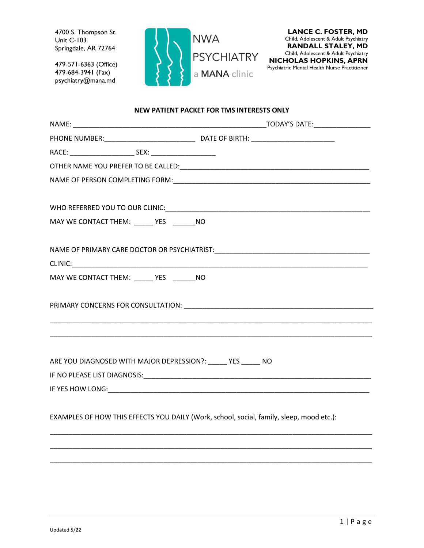4700 S. Thompson St. Unit C-103 Springdale, AR 72764

479-571-6363 (Office) 479-684-3941 (Fax) psychiatry@mana.md



#### **NEW PATIENT PACKET FOR TMS INTERESTS ONLY**

| MAY WE CONTACT THEM: _____ YES ______ NO                     |                                                                                                                                                                                                                                |
|--------------------------------------------------------------|--------------------------------------------------------------------------------------------------------------------------------------------------------------------------------------------------------------------------------|
|                                                              |                                                                                                                                                                                                                                |
| MAY WE CONTACT THEM: ______ YES _______ NO                   |                                                                                                                                                                                                                                |
|                                                              | PRIMARY CONCERNS FOR CONSULTATION: Network and the contract of the contract of the contract of the contract of the contract of the contract of the contract of the contract of the contract of the contract of the contract of |
| ARE YOU DIAGNOSED WITH MAJOR DEPRESSION?: _____ YES _____ NO |                                                                                                                                                                                                                                |
|                                                              |                                                                                                                                                                                                                                |
|                                                              |                                                                                                                                                                                                                                |
|                                                              | EXAMPLES OF HOW THIS EFFECTS YOU DAILY (Work, school, social, family, sleep, mood etc.):                                                                                                                                       |
|                                                              |                                                                                                                                                                                                                                |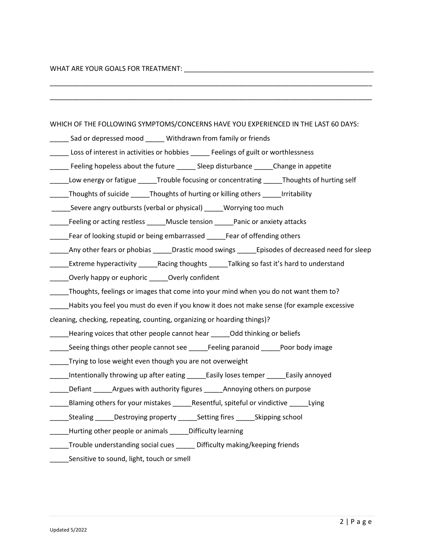# WHAT ARE YOUR GOALS FOR TREATMENT: \_\_\_\_\_\_\_\_\_\_\_\_\_\_\_\_\_\_\_\_\_\_\_\_\_\_\_\_\_\_\_\_\_\_\_\_\_\_\_\_\_\_\_\_\_\_\_\_\_\_

| WHICH OF THE FOLLOWING SYMPTOMS/CONCERNS HAVE YOU EXPERIENCED IN THE LAST 60 DAYS:                                       |
|--------------------------------------------------------------------------------------------------------------------------|
| ______ Sad or depressed mood ______ Withdrawn from family or friends                                                     |
| Loss of interest in activities or hobbies ______ Feelings of guilt or worthlessness                                      |
| _____ Feeling hopeless about the future _____ Sleep disturbance _____Change in appetite                                  |
| Low energy or fatigue ______Trouble focusing or concentrating ______Thoughts of hurting self<br>$\overline{\phantom{a}}$ |
| _____Thoughts of suicide _____Thoughts of hurting or killing others _____Irritability                                    |
| ________Severe angry outbursts (verbal or physical) _______Worrying too much                                             |
| _____Feeling or acting restless _____Muscle tension _____Panic or anxiety attacks                                        |
| ______Fear of looking stupid or being embarrassed ______Fear of offending others                                         |
| ______Any other fears or phobias ______Drastic mood swings ______Episodes of decreased need for sleep                    |
| ______Extreme hyperactivity ______Racing thoughts ______Talking so fast it's hard to understand                          |
| ______Overly happy or euphoric ______Overly confident                                                                    |
| ____Thoughts, feelings or images that come into your mind when you do not want them to?                                  |
| _____Habits you feel you must do even if you know it does not make sense (for example excessive                          |
| cleaning, checking, repeating, counting, organizing or hoarding things)?                                                 |
| _Hearing voices that other people cannot hear ______Odd thinking or beliefs<br>$\overline{\phantom{a}}$                  |
| _____Seeing things other people cannot see _____Feeling paranoid _____Poor body image                                    |
| Trying to lose weight even though you are not overweight<br>$\overline{\phantom{a}}$                                     |
| _Intentionally throwing up after eating ______Easily loses temper ______Easily annoyed<br>$\frac{1}{1}$                  |
| ____Defiant ______Argues with authority figures ______Annoying others on purpose                                         |
| _Blaming others for your mistakes _______Resentful, spiteful or vindictive ______Lying<br>$\overline{\phantom{a}}$       |
| _Stealing _____Destroying property ______Setting fires ______Skipping school                                             |
| _____Hurting other people or animals _____Difficulty learning                                                            |
| _____Trouble understanding social cues ______ Difficulty making/keeping friends                                          |
| Sensitive to sound, light, touch or smell                                                                                |
|                                                                                                                          |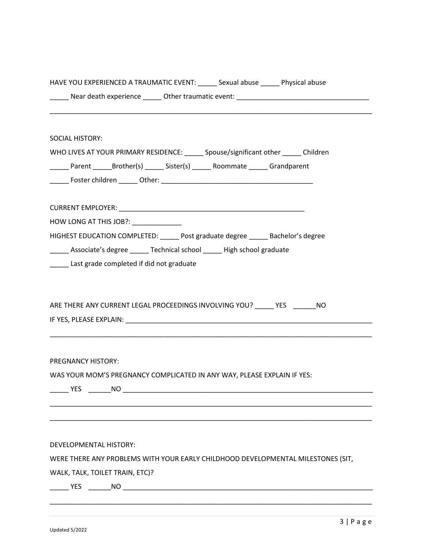| HAVE YOU EXPERIENCED A TRAUMATIC EVENT: ______ Sexual abuse ______ Physical abuse    |  |
|--------------------------------------------------------------------------------------|--|
|                                                                                      |  |
|                                                                                      |  |
| <b>SOCIAL HISTORY:</b>                                                               |  |
| WHO LIVES AT YOUR PRIMARY RESIDENCE: _____ Spouse/significant other _____ Children   |  |
| ______ Parent _______ Brother(s) ______ Sister(s) ______ Roommate ______ Grandparent |  |
|                                                                                      |  |
|                                                                                      |  |
|                                                                                      |  |
| HOW LONG AT THIS JOB ?: _______________                                              |  |
| HIGHEST EDUCATION COMPLETED: _____ Post graduate degree _____ Bachelor's degree      |  |
| _____ Associate's degree _____ Technical school _____ High school graduate           |  |
| _____ Last grade completed if did not graduate                                       |  |
|                                                                                      |  |
| ARE THERE ANY CURRENT LEGAL PROCEEDINGS INVOLVING YOU? _____ YES _______ NO          |  |
|                                                                                      |  |
|                                                                                      |  |
|                                                                                      |  |
| PREGNANCY HISTORY:                                                                   |  |
| WAS YOUR MOM'S PREGNANCY COMPLICATED IN ANY WAY, PLEASE EXPLAIN IF YES:              |  |
|                                                                                      |  |
|                                                                                      |  |
|                                                                                      |  |
|                                                                                      |  |
| DEVELOPMENTAL HISTORY:                                                               |  |
| WERE THERE ANY PROBLEMS WITH YOUR EARLY CHILDHOOD DEVELOPMENTAL MILESTONES (SIT,     |  |
| WALK, TALK, TOILET TRAIN, ETC)?                                                      |  |
|                                                                                      |  |
|                                                                                      |  |
|                                                                                      |  |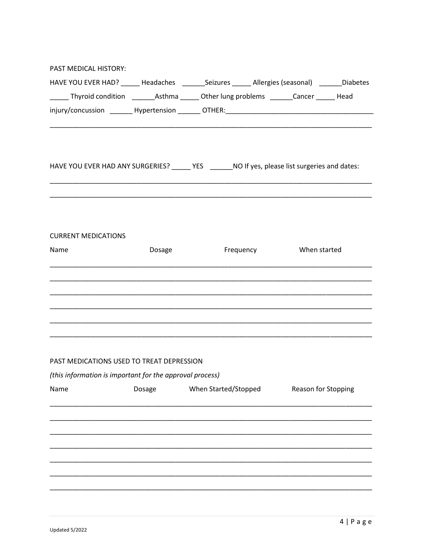| PAST MEDICAL HISTORY:                                                                              |        |                      |                        |                     |
|----------------------------------------------------------------------------------------------------|--------|----------------------|------------------------|---------------------|
| HAVE YOU EVER HAD? ______ Headaches ________Seizures ______ Allergies (seasonal) _______Diabetes   |        |                      |                        |                     |
| _______ Thyroid condition _________ Asthma _______ Other lung problems _______ Cancer _______ Head |        |                      |                        |                     |
|                                                                                                    |        |                      |                        |                     |
| HAVE YOU EVER HAD ANY SURGERIES? _____ YES _______NO If yes, please list surgeries and dates:      |        |                      |                        |                     |
|                                                                                                    |        |                      |                        |                     |
| <b>CURRENT MEDICATIONS</b>                                                                         |        |                      |                        |                     |
| Name                                                                                               | Dosage |                      | Frequency When started |                     |
|                                                                                                    |        |                      |                        |                     |
|                                                                                                    |        |                      |                        |                     |
| PAST MEDICATIONS USED TO TREAT DEPRESSION                                                          |        |                      |                        |                     |
| (this information is important for the approval process)                                           |        |                      |                        |                     |
| Name                                                                                               | Dosage | When Started/Stopped |                        | Reason for Stopping |
|                                                                                                    |        |                      |                        |                     |
|                                                                                                    |        |                      |                        |                     |
|                                                                                                    |        |                      |                        |                     |
|                                                                                                    |        |                      |                        |                     |
|                                                                                                    |        |                      |                        |                     |
|                                                                                                    |        |                      |                        |                     |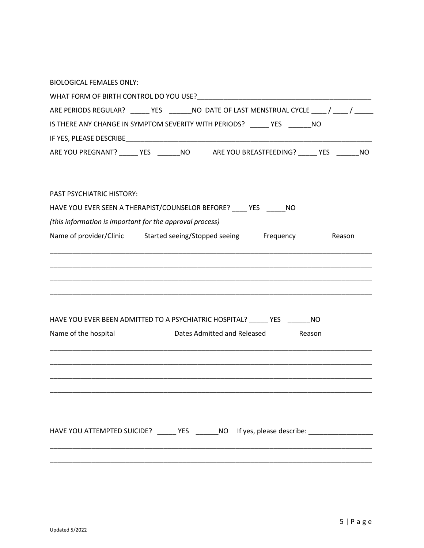| <b>BIOLOGICAL FEMALES ONLY:</b>                                                              |
|----------------------------------------------------------------------------------------------|
|                                                                                              |
| ARE PERIODS REGULAR? ______ YES _______ NO DATE OF LAST MENSTRUAL CYCLE ____ / ____ / ____   |
| IS THERE ANY CHANGE IN SYMPTOM SEVERITY WITH PERIODS? _____ YES ______ NO                    |
|                                                                                              |
| ARE YOU PREGNANT? _____ YES ______ NO _____ ARE YOU BREASTFEEDING? ______ YES _______ NO     |
| PAST PSYCHIATRIC HISTORY:                                                                    |
| HAVE YOU EVER SEEN A THERAPIST/COUNSELOR BEFORE? ____ YES ______ NO                          |
| (this information is important for the approval process)                                     |
| Name of provider/Clinic Started seeing/Stopped seeing Frequency<br>Reason                    |
|                                                                                              |
|                                                                                              |
|                                                                                              |
| HAVE YOU EVER BEEN ADMITTED TO A PSYCHIATRIC HOSPITAL? _____ YES ______ NO                   |
| Name of the hospital<br>Dates Admitted and Released Reason                                   |
|                                                                                              |
|                                                                                              |
|                                                                                              |
|                                                                                              |
| HAVE YOU ATTEMPTED SUICIDE? ______ YES _______ NO If yes, please describe: _________________ |
|                                                                                              |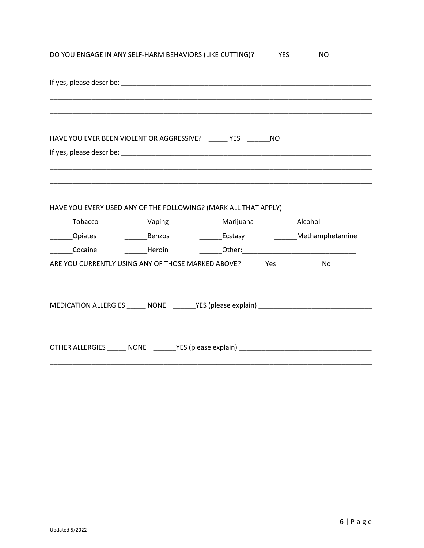| DO YOU ENGAGE IN ANY SELF-HARM BEHAVIORS (LIKE CUTTING)? _____ YES _______ NO     |                                                                                  |  |  |
|-----------------------------------------------------------------------------------|----------------------------------------------------------------------------------|--|--|
|                                                                                   |                                                                                  |  |  |
| HAVE YOU EVER BEEN VIOLENT OR AGGRESSIVE? _____ YES ______ NO                     |                                                                                  |  |  |
|                                                                                   |                                                                                  |  |  |
|                                                                                   |                                                                                  |  |  |
| HAVE YOU EVERY USED ANY OF THE FOLLOWING? (MARK ALL THAT APPLY)                   |                                                                                  |  |  |
|                                                                                   |                                                                                  |  |  |
| ________Opiates                                                                   | ___________Benzos ___________________Ecstasy ___________________________________ |  |  |
| _______Cocaine      _______Heroin       _______Other:____________________________ |                                                                                  |  |  |
| ARE YOU CURRENTLY USING ANY OF THOSE MARKED ABOVE? ______ Yes ____________ No     |                                                                                  |  |  |
|                                                                                   |                                                                                  |  |  |
|                                                                                   |                                                                                  |  |  |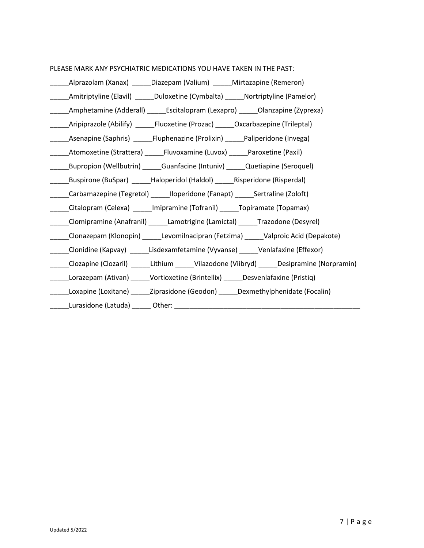### PLEASE MARK ANY PSYCHIATRIC MEDICATIONS YOU HAVE TAKEN IN THE PAST:

| _Alprazolam (Xanax) ______Diazepam (Valium) ______Mirtazapine (Remeron)                        |
|------------------------------------------------------------------------------------------------|
| ______Amitriptyline (Elavil) ______Duloxetine (Cymbalta) ______Nortriptyline (Pamelor)         |
| _______Amphetamine (Adderall) ________Escitalopram (Lexapro) _______Olanzapine (Zyprexa)       |
| Aripiprazole (Abilify) ________Fluoxetine (Prozac) _______Oxcarbazepine (Trileptal)            |
| _Asenapine (Saphris) _____Fluphenazine (Prolixin) _____Paliperidone (Invega)                   |
| _Atomoxetine (Strattera) ______Fluvoxamine (Luvox) ______Paroxetine (Paxil)                    |
| _Bupropion (Wellbutrin) ______Guanfacine (Intuniv) ______Quetiapine (Seroquel)                 |
| _Buspirone (BuSpar) _____Haloperidol (Haldol) _______ Risperidone (Risperdal)                  |
| _____Carbamazepine (Tegretol) ______Iloperidone (Fanapt) ______Sertraline (Zoloft)             |
| Citalopram (Celexa) _____Imipramine (Tofranil) _____Topiramate (Topamax)                       |
| _____Clomipramine (Anafranil) ______Lamotrigine (Lamictal) ______Trazodone (Desyrel)           |
| _____Clonazepam (Klonopin) ______Levomilnacipran (Fetzima) ______Valproic Acid (Depakote)      |
| _____Clonidine (Kapvay) ______Lisdexamfetamine (Vyvanse) ______Venlafaxine (Effexor)           |
| _____Clozapine (Clozaril) ______Lithium _____Vilazodone (Viibryd) _____Desipramine (Norpramin) |
| ______Lorazepam (Ativan) ______Vortioxetine (Brintellix) ______Desvenlafaxine (Pristiq)        |
| _____Loxapine (Loxitane) _____Ziprasidone (Geodon) _____Dexmethylphenidate (Focalin)           |
|                                                                                                |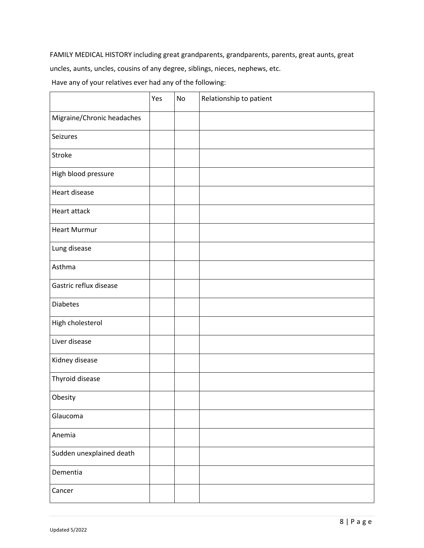FAMILY MEDICAL HISTORY including great grandparents, grandparents, parents, great aunts, great

uncles, aunts, uncles, cousins of any degree, siblings, nieces, nephews, etc.

Have any of your relatives ever had any of the following:

|                            | Yes | No | Relationship to patient |
|----------------------------|-----|----|-------------------------|
| Migraine/Chronic headaches |     |    |                         |
| Seizures                   |     |    |                         |
| Stroke                     |     |    |                         |
| High blood pressure        |     |    |                         |
| Heart disease              |     |    |                         |
| Heart attack               |     |    |                         |
| <b>Heart Murmur</b>        |     |    |                         |
| Lung disease               |     |    |                         |
| Asthma                     |     |    |                         |
| Gastric reflux disease     |     |    |                         |
| <b>Diabetes</b>            |     |    |                         |
| High cholesterol           |     |    |                         |
| Liver disease              |     |    |                         |
| Kidney disease             |     |    |                         |
| Thyroid disease            |     |    |                         |
| Obesity                    |     |    |                         |
| Glaucoma                   |     |    |                         |
| Anemia                     |     |    |                         |
| Sudden unexplained death   |     |    |                         |
| Dementia                   |     |    |                         |
| Cancer                     |     |    |                         |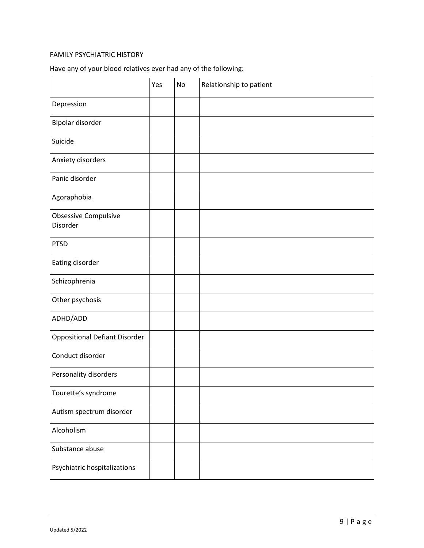# FAMILY PSYCHIATRIC HISTORY

| Have any of your blood relatives ever had any of the following: |  |  |
|-----------------------------------------------------------------|--|--|
|-----------------------------------------------------------------|--|--|

|                                      | Yes | No | Relationship to patient |
|--------------------------------------|-----|----|-------------------------|
| Depression                           |     |    |                         |
| Bipolar disorder                     |     |    |                         |
| Suicide                              |     |    |                         |
| Anxiety disorders                    |     |    |                         |
| Panic disorder                       |     |    |                         |
| Agoraphobia                          |     |    |                         |
| Obsessive Compulsive<br>Disorder     |     |    |                         |
| <b>PTSD</b>                          |     |    |                         |
| Eating disorder                      |     |    |                         |
| Schizophrenia                        |     |    |                         |
| Other psychosis                      |     |    |                         |
| ADHD/ADD                             |     |    |                         |
| <b>Oppositional Defiant Disorder</b> |     |    |                         |
| Conduct disorder                     |     |    |                         |
| Personality disorders                |     |    |                         |
| Tourette's syndrome                  |     |    |                         |
| Autism spectrum disorder             |     |    |                         |
| Alcoholism                           |     |    |                         |
| Substance abuse                      |     |    |                         |
| Psychiatric hospitalizations         |     |    |                         |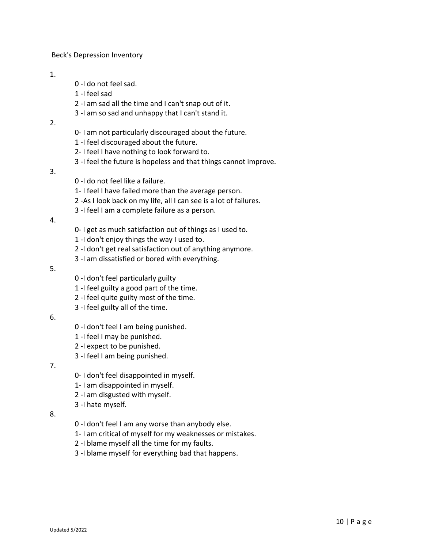Beck's Depression Inventory

#### 1.

- 0 -I do not feel sad.
- 1 -I feel sad
- 2 -I am sad all the time and I can't snap out of it.
- 3 -I am so sad and unhappy that I can't stand it.
- 2.
- 0- I am not particularly discouraged about the future.
- 1 -I feel discouraged about the future.
- 2- I feel I have nothing to look forward to.
- 3 -I feel the future is hopeless and that things cannot improve.
- 3.
- 0 -I do not feel like a failure.
- 1- I feel I have failed more than the average person.
- 2 -As I look back on my life, all I can see is a lot of failures.
- 3 -I feel I am a complete failure as a person.
- 4.
- 0- I get as much satisfaction out of things as I used to.
- 1 -I don't enjoy things the way I used to.
- 2 -I don't get real satisfaction out of anything anymore.
- 3 -I am dissatisfied or bored with everything.
- 5.
- 0 -I don't feel particularly guilty
- 1 -I feel guilty a good part of the time.
- 2 -I feel quite guilty most of the time.
- 3 -I feel guilty all of the time.
- 6.
- 0 -I don't feel I am being punished.
- 1 -I feel I may be punished.
- 2 -I expect to be punished.
- 3 -I feel I am being punished.
- 7.
- 0- I don't feel disappointed in myself.
- 1- I am disappointed in myself.
- 2 -I am disgusted with myself.
- 3 -I hate myself.
- 8.
- 0 -I don't feel I am any worse than anybody else.
- 1- I am critical of myself for my weaknesses or mistakes.
- 2 -I blame myself all the time for my faults.
- 3 -I blame myself for everything bad that happens.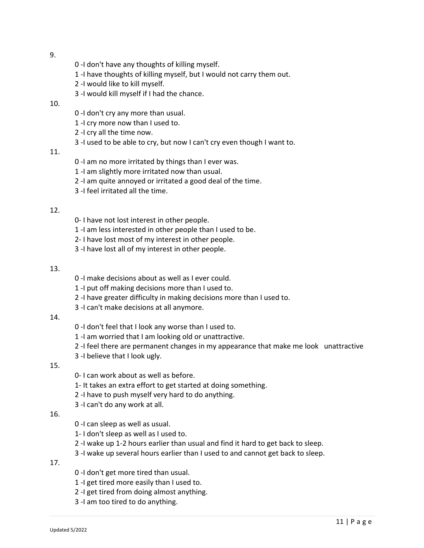- 9.
- 0 -I don't have any thoughts of killing myself.
- 1 -I have thoughts of killing myself, but I would not carry them out.
- 2 -I would like to kill myself.
- 3 -I would kill myself if I had the chance.

# 10.

- 0 -I don't cry any more than usual.
- 1 -I cry more now than I used to.
- 2 -I cry all the time now.
- 3 -I used to be able to cry, but now I can't cry even though I want to.

## 11.

- 0 -I am no more irritated by things than I ever was.
- 1 -I am slightly more irritated now than usual.
- 2 -I am quite annoyed or irritated a good deal of the time.
- 3 -I feel irritated all the time.

# 12.

- 0- I have not lost interest in other people.
- 1 -I am less interested in other people than I used to be.
- 2- I have lost most of my interest in other people.
- 3 -I have lost all of my interest in other people.

# 13.

- 0 -I make decisions about as well as I ever could.
- 1 -I put off making decisions more than I used to.
- 2 -I have greater difficulty in making decisions more than I used to.
- 3 -I can't make decisions at all anymore.

## 14.

- 0 -I don't feel that I look any worse than I used to.
- 1 -I am worried that I am looking old or unattractive.
- 2 -I feel there are permanent changes in my appearance that make me look unattractive
- 3 -I believe that I look ugly.

# 15.

- 0- I can work about as well as before.
- 1- It takes an extra effort to get started at doing something.
- 2 -I have to push myself very hard to do anything.
- 3 -I can't do any work at all.

## 16.

- 0 -I can sleep as well as usual.
- 1- I don't sleep as well as I used to.
- 2 -I wake up 1-2 hours earlier than usual and find it hard to get back to sleep.
- 3 -I wake up several hours earlier than I used to and cannot get back to sleep.

17.

- 0 -I don't get more tired than usual.
- 1 -I get tired more easily than I used to.
- 2 -I get tired from doing almost anything.
- 3 -I am too tired to do anything.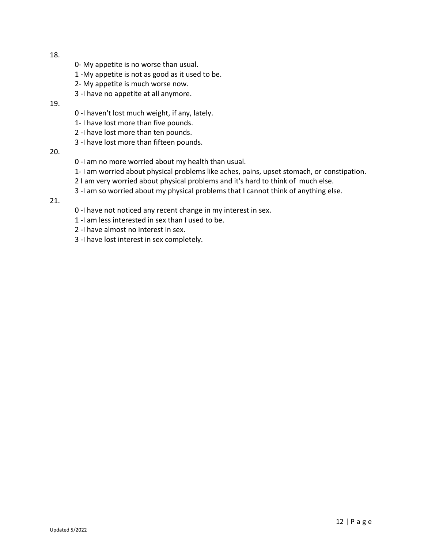- 18.
- 0- My appetite is no worse than usual.
- 1 -My appetite is not as good as it used to be.
- 2- My appetite is much worse now.
- 3 -I have no appetite at all anymore.

# 19.

- 0 -I haven't lost much weight, if any, lately.
- 1- I have lost more than five pounds.
- 2 -I have lost more than ten pounds.
- 3 -I have lost more than fifteen pounds.

# 20.

- 0 -I am no more worried about my health than usual.
- 1- I am worried about physical problems like aches, pains, upset stomach, or constipation.
- 2 I am very worried about physical problems and it's hard to think of much else.
- 3 -I am so worried about my physical problems that I cannot think of anything else.

# 21.

- 0 -I have not noticed any recent change in my interest in sex.
- 1 -I am less interested in sex than I used to be.
- 2 -I have almost no interest in sex.
- 3 -I have lost interest in sex completely.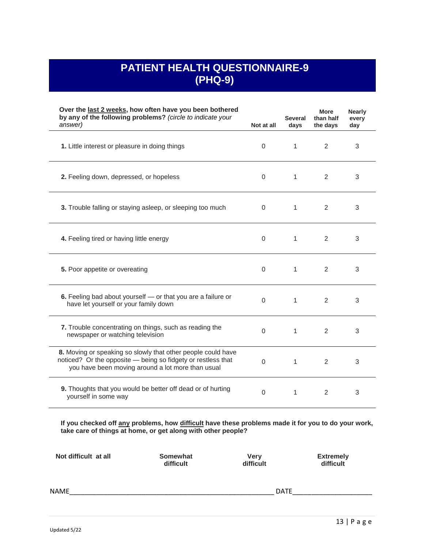# **PATIENT HEALTH QUESTIONNAIRE-9 (PHQ-9)**

| Over the last 2 weeks, how often have you been bothered<br>by any of the following problems? (circle to indicate your<br>answer)                                                  | Not at all | <b>Several</b><br>days | More<br>than half<br>the days | <b>Nearly</b><br>every<br>day |
|-----------------------------------------------------------------------------------------------------------------------------------------------------------------------------------|------------|------------------------|-------------------------------|-------------------------------|
| 1. Little interest or pleasure in doing things                                                                                                                                    | 0          | $\mathbf{1}$           | 2                             | 3                             |
| 2. Feeling down, depressed, or hopeless                                                                                                                                           | $\Omega$   | 1                      | 2                             | 3                             |
| 3. Trouble falling or staying asleep, or sleeping too much                                                                                                                        | $\Omega$   | 1                      | 2                             | 3                             |
| 4. Feeling tired or having little energy                                                                                                                                          | 0          | $\mathbf{1}$           | 2                             | 3                             |
| 5. Poor appetite or overeating                                                                                                                                                    | 0          | $\mathbf{1}$           | 2                             | 3                             |
| 6. Feeling bad about yourself - or that you are a failure or<br>have let yourself or your family down                                                                             | $\Omega$   | $\mathbf{1}$           | 2                             | 3                             |
| 7. Trouble concentrating on things, such as reading the<br>newspaper or watching television                                                                                       | $\Omega$   | $\mathbf{1}$           | 2                             | 3                             |
| 8. Moving or speaking so slowly that other people could have<br>noticed? Or the opposite - being so fidgety or restless that<br>you have been moving around a lot more than usual | $\Omega$   | $\mathbf{1}$           | 2                             | 3                             |
| 9. Thoughts that you would be better off dead or of hurting<br>yourself in some way                                                                                               | $\Omega$   | $\mathbf{1}$           | $\mathcal{P}$                 | 3                             |
| If you checked off any problems, how difficult have these problems made it for you to do your work,<br>take care of things at home, or get along with other people?               |            |                        |                               |                               |

| Not difficult at all | Somewhat  | Very      | <b>Extremely</b> |
|----------------------|-----------|-----------|------------------|
|                      | difficult | difficult | difficult        |
| <b>NAME</b>          |           | DATE      |                  |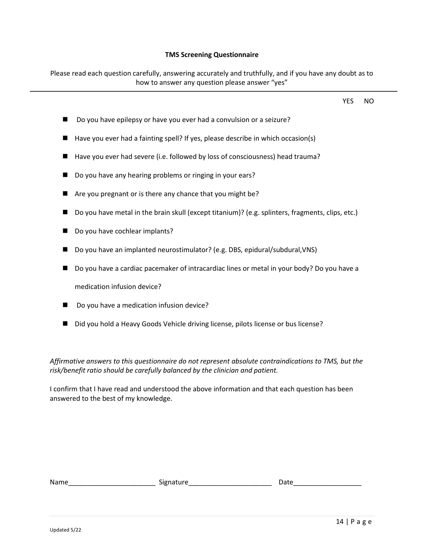#### **TMS Screening Questionnaire**

Please read each question carefully, answering accurately and truthfully, and if you have any doubt as to

how to answer any question please answer "yes" YES NO ■ Do you have epilepsy or have you ever had a convulsion or a seizure? ■ Have you ever had a fainting spell? If yes, please describe in which occasion(s) ■ Have you ever had severe (i.e. followed by loss of consciousness) head trauma? ■ Do you have any hearing problems or ringing in your ears? ■ Are you pregnant or is there any chance that you might be? ■ Do you have metal in the brain skull (except titanium)? (e.g. splinters, fragments, clips, etc.) ■ Do you have cochlear implants? ■ Do you have an implanted neurostimulator? (e.g. DBS, epidural/subdural, VNS) ■ Do you have a cardiac pacemaker of intracardiac lines or metal in your body? Do you have a medication infusion device? ◼ Do you have a medication infusion device? ■ Did you hold a Heavy Goods Vehicle driving license, pilots license or bus license? *Affirmative answers to this questionnaire do not represent absolute contraindications to TMS, but the* 

I confirm that I have read and understood the above information and that each question has been answered to the best of my knowledge.

| Name | .<br>- - -<br>שונ |  |
|------|-------------------|--|
|      |                   |  |

*risk/benefit ratio should be carefully balanced by the clinician and patient.*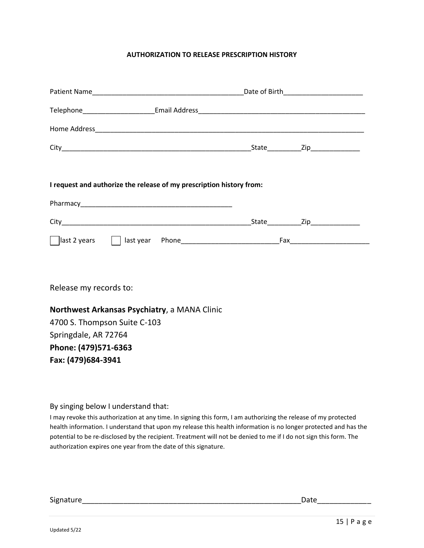# **AUTHORIZATION TO RELEASE PRESCRIPTION HISTORY**

|                              | I request and authorize the release of my prescription history from: |  |  |
|------------------------------|----------------------------------------------------------------------|--|--|
|                              |                                                                      |  |  |
|                              |                                                                      |  |  |
|                              |                                                                      |  |  |
| Release my records to:       |                                                                      |  |  |
|                              | Northwest Arkansas Psychiatry, a MANA Clinic                         |  |  |
| 4700 S. Thompson Suite C-103 |                                                                      |  |  |
| Springdale, AR 72764         |                                                                      |  |  |
| Phone: (479)571-6363         |                                                                      |  |  |
| Fax: (479)684-3941           |                                                                      |  |  |
|                              |                                                                      |  |  |

By singing below I understand that:

I may revoke this authorization at any time. In signing this form, I am authorizing the release of my protected health information. I understand that upon my release this health information is no longer protected and has the potential to be re-disclosed by the recipient. Treatment will not be denied to me if I do not sign this form. The authorization expires one year from the date of this signature.

Signature\_\_\_\_\_\_\_\_\_\_\_\_\_\_\_\_\_\_\_\_\_\_\_\_\_\_\_\_\_\_\_\_\_\_\_\_\_\_\_\_\_\_\_\_\_\_\_\_\_\_\_\_\_Date\_\_\_\_\_\_\_\_\_\_\_\_\_